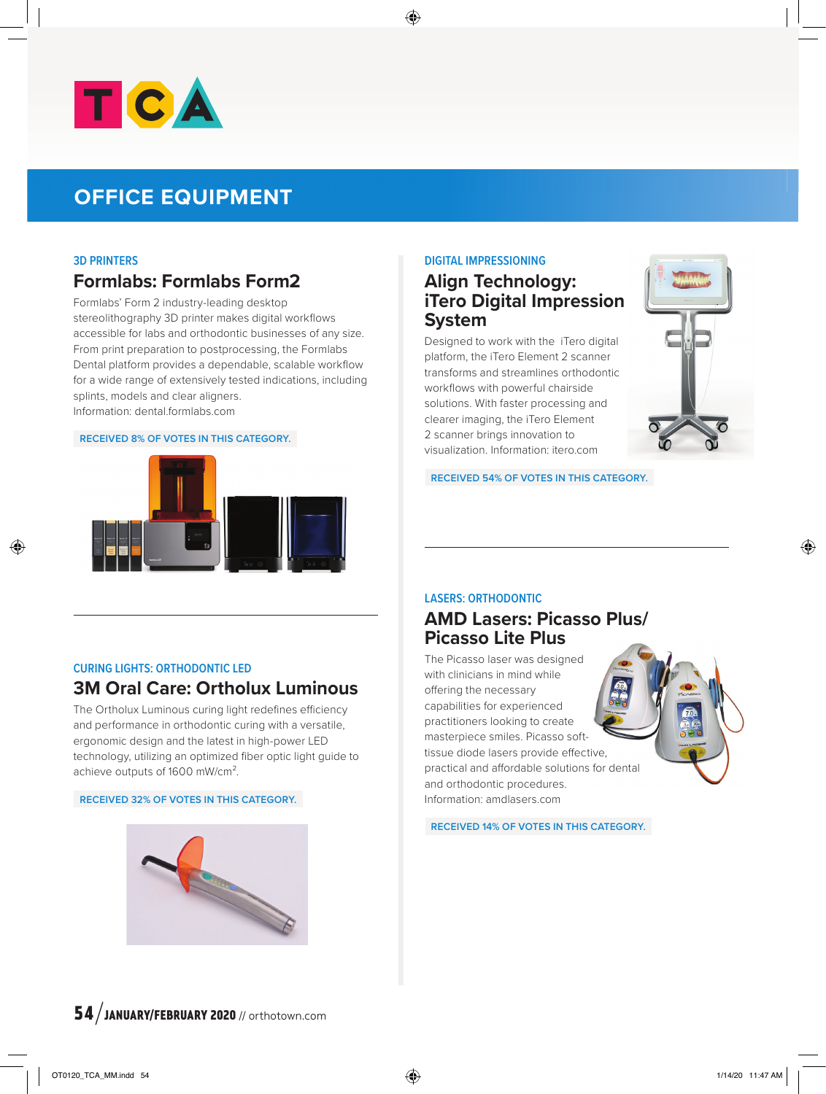

# **OFFICE EQUIPMENT**

#### **3D PRINTERS**

# **Formlabs: Formlabs Form2**

Formlabs' Form 2 industry-leading desktop stereolithography 3D printer makes digital workflows accessible for labs and orthodontic businesses of any size. From print preparation to postprocessing, the Formlabs Dental platform provides a dependable, scalable workflow for a wide range of extensively tested indications, including splints, models and clear aligners. Information: dental.formlabs.com

#### **RECEIVED 8% OF VOTES IN THIS CATEGORY.**



#### **DIGITAL IMPRESSIONING**

### **Align Technology: iTero Digital Impression System**

Designed to work with the iTero digital platform, the iTero Element 2 scanner transforms and streamlines orthodontic workflows with powerful chairside solutions. With faster processing and clearer imaging, the iTero Element 2 scanner brings innovation to visualization. Information: itero.com



**RECEIVED 54% OF VOTES IN THIS CATEGORY.**

#### **CURING LIGHTS: ORTHODONTIC LED**

# **3M Oral Care: Ortholux Luminous**

The Ortholux Luminous curing light redefines efficiency and performance in orthodontic curing with a versatile, ergonomic design and the latest in high-power LED technology, utilizing an optimized fiber optic light guide to achieve outputs of 1600 mW/cm².

#### **RECEIVED 32% OF VOTES IN THIS CATEGORY.**



### **LASERS: ORTHODONTIC**

## **AMD Lasers: Picasso Plus/ Picasso Lite Plus**

The Picasso laser was designed with clinicians in mind while offering the necessary capabilities for experienced practitioners looking to create masterpiece smiles. Picasso softtissue diode lasers provide effective, practical and affordable solutions for dental and orthodontic procedures. Information: amdlasers.com

**RECEIVED 14% OF VOTES IN THIS CATEGORY.**